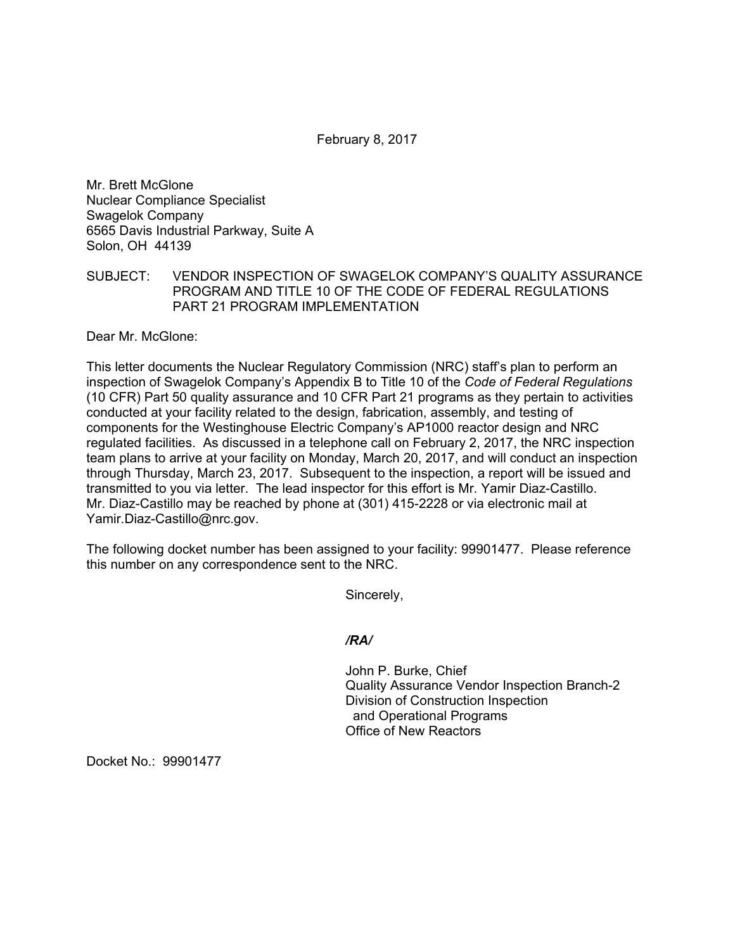February 8, 2017

Mr. Brett McGlone Nuclear Compliance Specialist Swagelok Company 6565 Davis Industrial Parkway, Suite A Solon, OH 44139

## SUBJECT: VENDOR INSPECTION OF SWAGELOK COMPANY'S QUALITY ASSURANCE PROGRAM AND TITLE 10 OF THE CODE OF FEDERAL REGULATIONS PART 21 PROGRAM IMPLEMENTATION

Dear Mr. McGlone:

This letter documents the Nuclear Regulatory Commission (NRC) staff's plan to perform an inspection of Swagelok Company's Appendix B to Title 10 of the *Code of Federal Regulations*  (10 CFR) Part 50 quality assurance and 10 CFR Part 21 programs as they pertain to activities conducted at your facility related to the design, fabrication, assembly, and testing of components for the Westinghouse Electric Company's AP1000 reactor design and NRC regulated facilities. As discussed in a telephone call on February 2, 2017, the NRC inspection team plans to arrive at your facility on Monday, March 20, 2017, and will conduct an inspection through Thursday, March 23, 2017. Subsequent to the inspection, a report will be issued and transmitted to you via letter. The lead inspector for this effort is Mr. Yamir Diaz-Castillo. Mr. Diaz-Castillo may be reached by phone at (301) 415-2228 or via electronic mail at Yamir.Diaz-Castillo@nrc.gov.

The following docket number has been assigned to your facility: 99901477. Please reference this number on any correspondence sent to the NRC.

Sincerely,

*/RA/* 

John P. Burke, Chief Quality Assurance Vendor Inspection Branch-2 Division of Construction Inspection and Operational Programs Office of New Reactors

Docket No.: 99901477